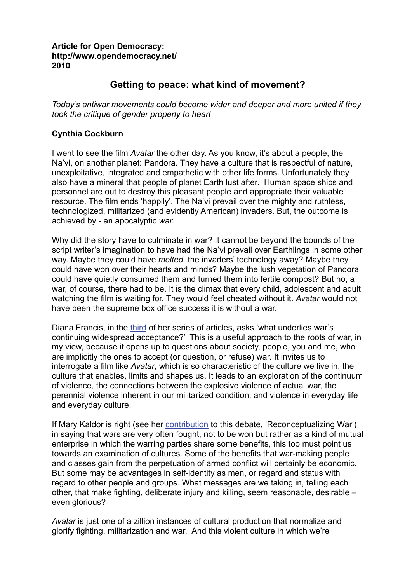## **Article for Open Democracy: http://www.opendemocracy.net/ 2010**

# **Getting to peace: what kind of movement?**

*Today's antiwar movements could become wider and deeper and more united if they took the critique of gender properly to heart* 

# **Cynthia Cockburn**

I went to see the film *Avatar* the other day. As you know, it's about a people, the Na'vi, on another planet: Pandora. They have a culture that is respectful of nature, unexploitative, integrated and empathetic with other life forms. Unfortunately they also have a mineral that people of planet Earth lust after. Human space ships and personnel are out to destroy this pleasant people and appropriate their valuable resource. The film ends 'happily'. The Na'vi prevail over the mighty and ruthless, technologized, militarized (and evidently American) invaders. But, the outcome is achieved by - an apocalyptic *war.* 

Why did the story have to culminate in war? It cannot be beyond the bounds of the script writer's imagination to have had the Na'vi prevail over Earthlings in some other way. Maybe they could have *melted* the invaders' technology away? Maybe they could have won over their hearts and minds? Maybe the lush vegetation of Pandora could have quietly consumed them and turned them into fertile compost? But no, a war, of course, there had to be. It is the climax that every child, adolescent and adult watching the film is waiting for. They would feel cheated without it. *Avatar* would not have been the supreme box office success it is without a war.

Diana Francis, in the [third](http://www.opendemocracy.net/5050/diana-francis/war-justifiable-or-simply-catastrophic) of her series of articles, asks 'what underlies war's continuing widespread acceptance?' This is a useful approach to the roots of war, in my view, because it opens up to questions about society, people, you and me, who are implicitly the ones to accept (or question, or refuse) war. It invites us to interrogate a film like *Avatar*, which is so characteristic of the culture we live in, the culture that enables, limits and shapes us. It leads to an exploration of the continuum of violence, the connections between the explosive violence of actual war, the perennial violence inherent in our militarized condition, and violence in everyday life and everyday culture.

If Mary Kaldor is right (see her [contribution](http://www.opendemocracy.net/5050/mary-kaldor/reconceptualising-war) to this debate, 'Reconceptualizing War') in saying that wars are very often fought, not to be won but rather as a kind of mutual enterprise in which the warring parties share some benefits, this too must point us towards an examination of cultures. Some of the benefits that war-making people and classes gain from the perpetuation of armed conflict will certainly be economic. But some may be advantages in self-identity as men, or regard and status with regard to other people and groups. What messages are we taking in, telling each other, that make fighting, deliberate injury and killing, seem reasonable, desirable – even glorious?

*Avatar* is just one of a zillion instances of cultural production that normalize and glorify fighting, militarization and war. And this violent culture in which we're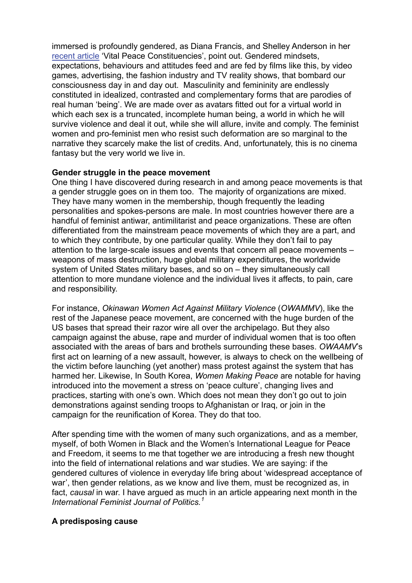immersed is profoundly gendered, as Diana Francis, and Shelley Anderson in her [recent article](http://www.opendemocracy.net/5050/shelley-anderson/vital-peace-constituencies) 'Vital Peace Constituencies', point out. Gendered mindsets, expectations, behaviours and attitudes feed and are fed by films like this, by video games, advertising, the fashion industry and TV reality shows, that bombard our consciousness day in and day out. Masculinity and femininity are endlessly constituted in idealized, contrasted and complementary forms that are parodies of real human 'being'. We are made over as avatars fitted out for a virtual world in which each sex is a truncated, incomplete human being, a world in which he will survive violence and deal it out, while she will allure, invite and comply. The feminist women and pro-feminist men who resist such deformation are so marginal to the narrative they scarcely make the list of credits. And, unfortunately, this is no cinema fantasy but the very world we live in.

#### **Gender struggle in the peace movement**

One thing I have discovered during research in and among peace movements is that a gender struggle goes on in them too. The majority of organizations are mixed. They have many women in the membership, though frequently the leading personalities and spokes-persons are male. In most countries however there are a handful of feminist antiwar, antimilitarist and peace organizations. These are often differentiated from the mainstream peace movements of which they are a part, and to which they contribute, by one particular quality. While they don't fail to pay attention to the large-scale issues and events that concern all peace movements – weapons of mass destruction, huge global military expenditures, the worldwide system of United States military bases, and so on – they simultaneously call attention to more mundane violence and the individual lives it affects, to pain, care and responsibility.

For instance, *Okinawan Women Act Against Military Violence* (*OWAMMV*), like the rest of the Japanese peace movement, are concerned with the huge burden of the US bases that spread their razor wire all over the archipelago. But they also campaign against the abuse, rape and murder of individual women that is too often associated with the areas of bars and brothels surrounding these bases. *OWAAMV*'s first act on learning of a new assault, however, is always to check on the wellbeing of the victim before launching (yet another) mass protest against the system that has harmed her. Likewise, In South Korea, *Women Making Peace* are notable for having introduced into the movement a stress on 'peace culture', changing lives and practices, starting with one's own. Which does not mean they don't go out to join demonstrations against sending troops to Afghanistan or Iraq, or join in the campaign for the reunification of Korea. They do that too.

After spending time with the women of many such organizations, and as a member, myself, of both Women in Black and the Women's International League for Peace and Freedom, it seems to me that together we are introducing a fresh new thought into the field of international relations and war studies. We are saying: if the gendered cultures of violence in everyday life bring about 'widespread acceptance of war', then gender relations, as we know and live them, must be recognized as, in fact, *causal* in war. I have argued as much in an article appearing next month in the *International Feminist Journal of Politics.[1](#page-3-0)*

## **A predisposing cause**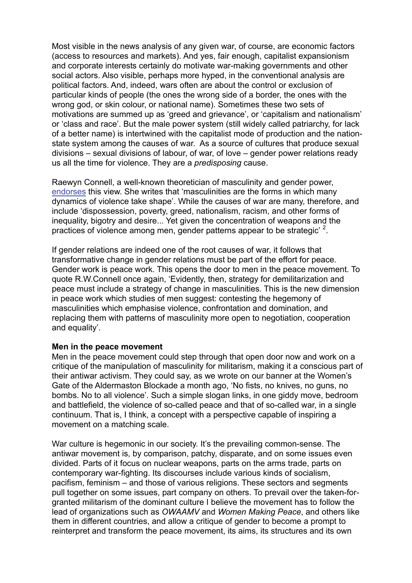Most visible in the news analysis of any given war, of course, are economic factors (access to resources and markets). And yes, fair enough, capitalist expansionism and corporate interests certainly do motivate war-making governments and other social actors. Also visible, perhaps more hyped, in the conventional analysis are political factors. And, indeed, wars often are about the control or exclusion of particular kinds of people (the ones the wrong side of a border, the ones with the wrong god, or skin colour, or national name). Sometimes these two sets of motivations are summed up as 'greed and grievance', or 'capitalism and nationalism' or 'class and race'. But the male power system (still widely called patriarchy, for lack of a better name) is intertwined with the capitalist mode of production and the nationstate system among the causes of war. As a source of cultures that produce sexual divisions – sexual divisions of labour, of war, of love – gender power relations ready us all the time for violence. They are a *predisposing* cause.

Raewyn Connell, a well-known theoretician of masculinity and gender power, [endorses](http://www.amazon.co.uk/gp/reader/0853159467/ref=sib_dp_ptu#reader-page) this view. She writes that 'masculinities are the forms in which many dynamics of violence take shape'. While the causes of war are many, therefore, and include 'dispossession, poverty, greed, nationalism, racism, and other forms of inequality, bigotry and desire... Yet given the concentration of weapons and the practices of violence among men, gender patterns appear to be strategic'  $2$ .

If gender relations are indeed one of the root causes of war, it follows that transformative change in gender relations must be part of the effort for peace. Gender work is peace work. This opens the door to men in the peace movement. To quote R.W.Connell once again, 'Evidently, then, strategy for demilitarization and peace must include a strategy of change in masculinities. This is the new dimension in peace work which studies of men suggest: contesting the hegemony of masculinities which emphasise violence, confrontation and domination, and replacing them with patterns of masculinity more open to negotiation, cooperation and equality'.

#### **Men in the peace movement**

Men in the peace movement could step through that open door now and work on a critique of the manipulation of masculinity for militarism, making it a conscious part of their antiwar activism. They could say, as we wrote on our banner at the Women's Gate of the Aldermaston Blockade a month ago, 'No fists, no knives, no guns, no bombs. No to all violence'. Such a simple slogan links, in one giddy move, bedroom and battlefield, the violence of so-called peace and that of so-called war, in a single continuum. That is, I think, a concept with a perspective capable of inspiring a movement on a matching scale.

War culture is hegemonic in our society. It's the prevailing common-sense. The antiwar movement is, by comparison, patchy, disparate, and on some issues even divided. Parts of it focus on nuclear weapons, parts on the arms trade, parts on contemporary war-fighting. Its discourses include various kinds of socialism, pacifism, feminism – and those of various religions. These sectors and segments pull together on some issues, part company on others. To prevail over the taken-forgranted militarism of the dominant culture I believe the movement has to follow the lead of organizations such as *OWAAMV* and *Women Making Peace*, and others like them in different countries, and allow a critique of gender to become a prompt to reinterpret and transform the peace movement, its aims, its structures and its own